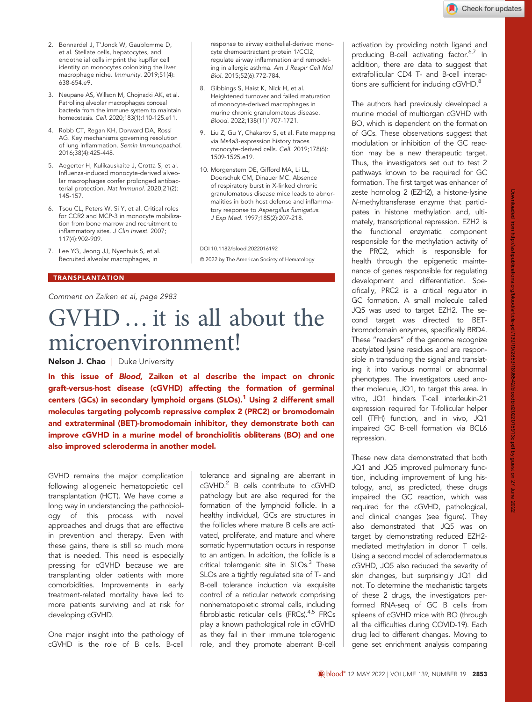- 2. Bonnardel J, T'Jonck W, Gaublomme D, et al. Stellate cells, hepatocytes, and endothelial cells imprint the kupffer cell identity on monocytes colonizing the liver macrophage niche. Immunity. 2019;51(4): 638-654.e9.
- 3. Neupane AS, Willson M, Chojnacki AK, et al. Patrolling alveolar macrophages conceal bacteria from the immune system to maintain homeostasis. Cell. 2020;183(1):110-125.e11.
- 4. Robb CT, Regan KH, Dorward DA, Rossi AG. Key mechanisms governing resolution of lung inflammation. Semin Immunopathol. 2016;38(4):425-448.
- 5. Aegerter H, Kulikauskaite J, Crotta S, et al. Influenza-induced monocyte-derived alveolar macrophages confer prolonged antibacterial protection. Nat Immunol. 2020;21(2): 145-157.
- 6. Tsou CL, Peters W, Si Y, et al. Critical roles for CCR2 and MCP-3 in monocyte mobilization from bone marrow and recruitment to inflammatory sites. J Clin Invest. 2007; 117(4):902-909.
- 7. Lee YG, Jeong JJ, Nyenhuis S, et al. Recruited alveolar macrophages, in

## TRANSPLANTATION

Comment on [Zaiken et al](http://www.bloodjournal.org/content/139/19/2983), page 2983

## GVHD…it is all about the microenvironment!

Nelson J. Chao | Duke University

In this issue of Blood, [Zaiken et al](http://www.bloodjournal.org/content/139/19/2983) describe the impact on chronic graft-versus-host disease (cGVHD) affecting the formation of germinal centers (GCs) in secondary lymphoid organs (SLOs).<sup>[1](#page-1-0)</sup> Using 2 different small molecules targeting polycomb repressive complex 2 (PRC2) or bromodomain and extraterminal (BET)-bromodomain inhibitor, they demonstrate both can improve cGVHD in a murine model of bronchiolitis obliterans (BO) and one also improved scleroderma in another model.

GVHD remains the major complication following allogeneic hematopoietic cell transplantation (HCT). We have come a long way in understanding the pathobiology of this process with novel approaches and drugs that are effective in prevention and therapy. Even with these gains, there is still so much more that is needed. This need is especially pressing for cGVHD because we are transplanting older patients with more comorbidities. Improvements in early treatment-related mortality have led to more patients surviving and at risk for developing cGVHD.

One major insight into the pathology of cGVHD is the role of B cells. B-cell

tolerance and signaling are aberrant in cGVHD.<sup>2</sup> B cells contribute to cGVHD pathology but are also required for the formation of the lymphoid follicle. In a healthy individual, GCs are structures in the follicles where mature B cells are activated, proliferate, and mature and where somatic hypermutation occurs in response to an antigen. In addition, the follicle is a critical tolerogenic site in SLOs.<sup>3</sup> These SLOs are a tightly regulated site of T- and B-cell tolerance induction via exquisite control of a reticular network comprising nonhematopoietic stromal cells, including fibroblastic reticular cells (FRCs). $4,5$  FRCs play a known pathological role in cGVHD as they fail in their immune tolerogenic role, and they promote aberrant B-cell

response to airway epithelial-derived monocyte chemoattractant protein 1/CCl2, regulate airway inflammation and remodeling in allergic asthma. Am J Respir Cell Mol

Heightened turnover and failed maturation of monocyte-derived macrophages in murine chronic granulomatous disease. Blood. 2022;138(11)1707-1721.

9. Liu Z, Gu Y, Chakarov S, et al. Fate mapping via Ms4a3-expression history traces monocyte-derived cells. Cell. 2019;178(6):

10. Morgenstern DE, Gifford MA, Li LL, Doerschuk CM, Dinauer MC. Absence of respiratory burst in X-linked chronic granulomatous disease mice leads to abnormalities in both host defense and inflammatory response to Aspergillus fumigatus. J Exp Med. 1997;185(2):207-218.

© 2022 by The American Society of Hematology

Biol. 2015;52(6):772-784. 8. Gibbings S, Haist K, Nick H, et al.

1509-1525.e19.

DOI 10.1182/blood.2022016192

activation by providing notch ligand and producing B-cell activating factor.<sup>6,7</sup> In addition, there are data to suggest that extrafollicular CD4 T- and B-cell interactions are sufficient for inducing cGVHD.<sup>8</sup>

The authors had previously developed a murine model of multiorgan cGVHD with BO, which is dependent on the formation of GCs. These observations suggest that modulation or inhibition of the GC reaction may be a new therapeutic target. Thus, the investigators set out to test 2 pathways known to be required for GC formation. The first target was enhancer of zeste homolog 2 (EZH2), a histone-lysine N-methyltransferase enzyme that participates in histone methylation and, ultimately, transcriptional repression. EZH2 is the functional enzymatic component responsible for the methylation activity of the PRC2, which is responsible for health through the epigenetic maintenance of genes responsible for regulating development and differentiation. Specifically, PRC2 is a critical regulator in GC formation. A small molecule called JQ5 was used to target EZH2. The second target was directed to BETbromodomain enzymes, specifically BRD4. These "readers" of the genome recognize acetylated lysine residues and are responsible in transducing the signal and translating it into various normal or abnormal phenotypes. The investigators used another molecule, JQ1, to target this area. In vitro, JQ1 hinders T-cell interleukin-21 expression required for T-follicular helper cell (TFH) function, and in vivo, JQ1 impaired GC B-cell formation via BCL6 repression.

These new data demonstrated that both JQ1 and JQ5 improved pulmonary function, including improvement of lung histology, and, as predicted, these drugs impaired the GC reaction, which was required for the cGVHD, pathological, and clinical changes (see figure). They also demonstrated that JQ5 was on target by demonstrating reduced EZH2 mediated methylation in donor T cells. Using a second model of sclerodermatous cGVHD, JQ5 also reduced the severity of skin changes, but surprisingly JQ1 did not. To determine the mechanistic targets of these 2 drugs, the investigators performed RNA-seq of GC B cells from spleens of cGVHD mice with BO (through all the difficulties during COVID-19). Each drug led to different changes. Moving to gene set enrichment analysis comparing